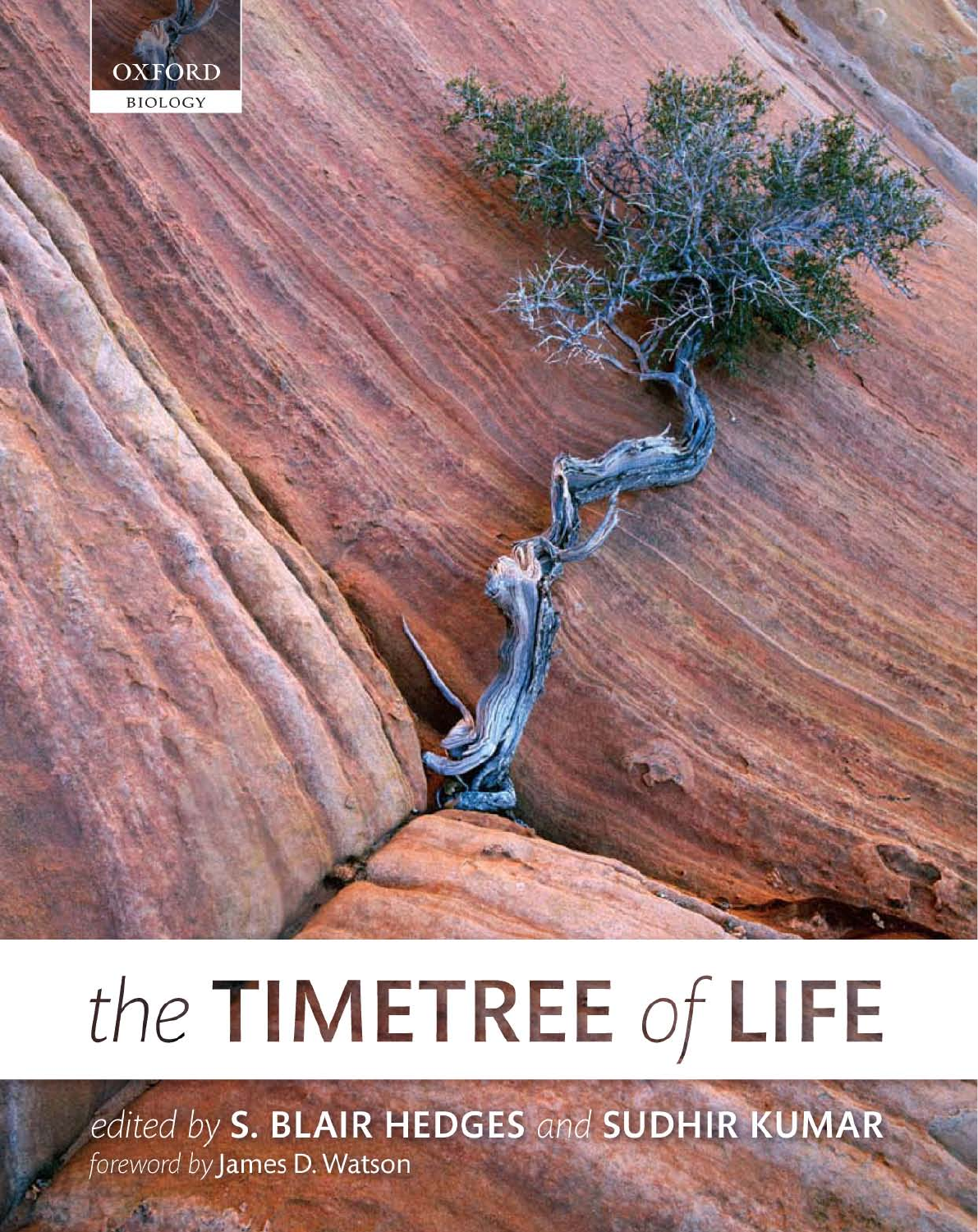

# the TIMETREE of LIFE

edited by S. BLAIR HEDGES and SUDHIR KUMAR foreword by James D. Watson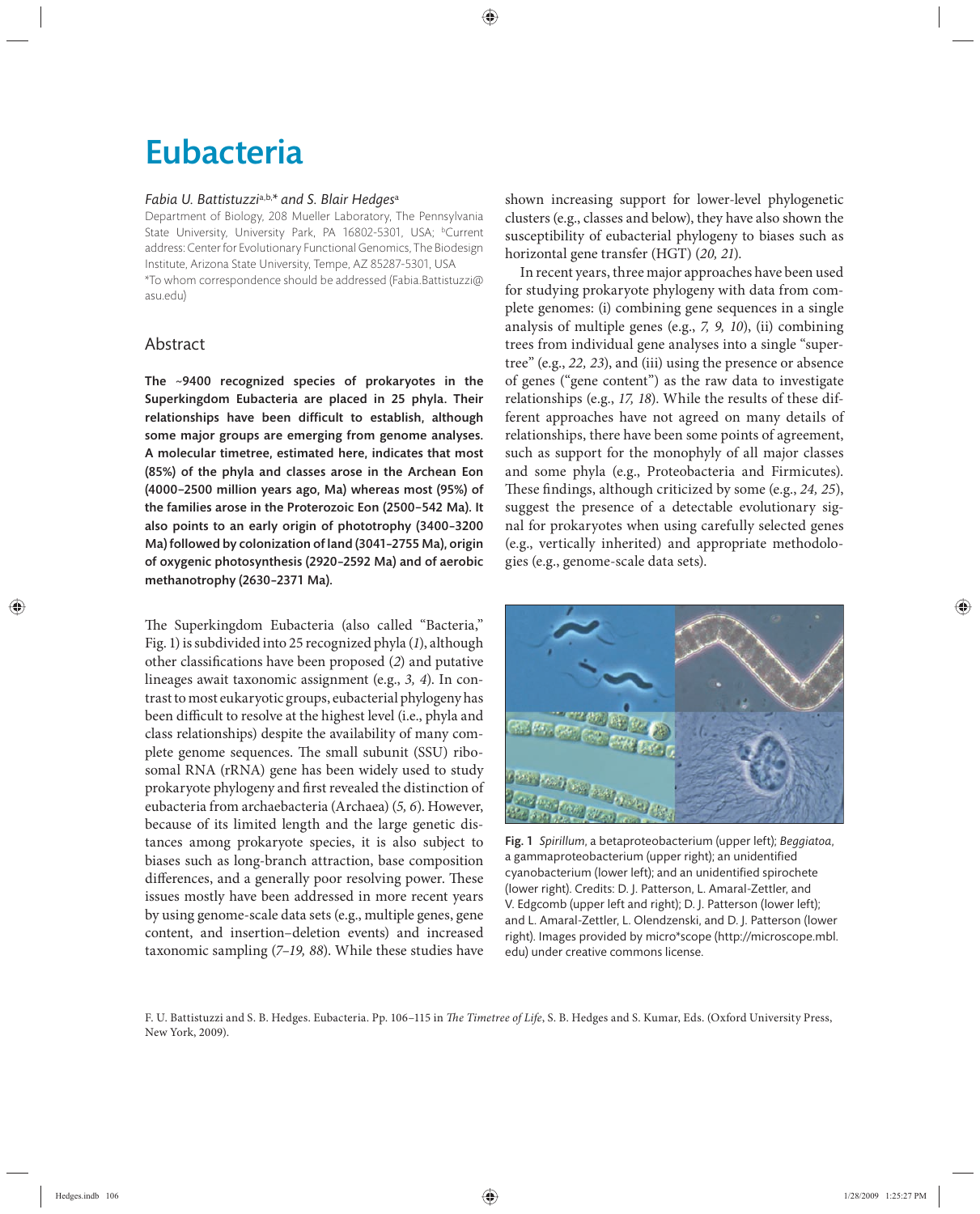## Eubacteria

#### *Fabia U. Battistuzzi*a,b,*\* and S. Blair Hedges*<sup>a</sup>

Department of Biology, 208 Mueller Laboratory, The Pennsylvania State University, University Park, PA 16802-5301, USA; <sup>b</sup>Current address: Center for Evolutionary Functional Genomics, The Biodesign Institute, Arizona State University, Tempe, AZ 85287-5301, USA \*To whom correspondence should be addressed (Fabia.Battistuzzi@ asu.edu)

#### Abstract

The ~9400 recognized species of prokaryotes in the Superkingdom Eubacteria are placed in 25 phyla. Their relationships have been difficult to establish, although some major groups are emerging from genome analyses. A molecular timetree, estimated here, indicates that most (85%) of the phyla and classes arose in the Archean Eon (4000−2500 million years ago, Ma) whereas most (95%) of the families arose in the Proterozoic Eon (2500−542 Ma). It also points to an early origin of phototrophy (3400–3200 Ma) followed by colonization of land (3041–2755 Ma), origin of oxygenic photosynthesis (2920–2592 Ma) and of aerobic methanotrophy (2630–2371 Ma).

The Superkingdom Eubacteria (also called "Bacteria," Fig. 1) is subdivided into 25 recognized phyla (*1*), although other classifications have been proposed (2) and putative lineages await taxonomic assignment (e.g., *3, 4*). In contrast to most eukaryotic groups, eubacterial phylogeny has been difficult to resolve at the highest level (i.e., phyla and class relationships) despite the availability of many complete genome sequences. The small subunit (SSU) ribosomal RNA (rRNA) gene has been widely used to study prokaryote phylogeny and first revealed the distinction of eubacteria from archaebacteria (Archaea) (*5, 6*). However, because of its limited length and the large genetic distances among prokaryote species, it is also subject to biases such as long-branch attraction, base composition differences, and a generally poor resolving power. These issues mostly have been addressed in more recent years by using genome-scale data sets (e.g., multiple genes, gene content, and insertion–deletion events) and increased taxonomic sampling (*7–19, 88*). While these studies have

shown increasing support for lower-level phylogenetic clusters (e.g., classes and below), they have also shown the susceptibility of eubacterial phylogeny to biases such as horizontal gene transfer (HGT) (*20, 21*).

In recent years, three major approaches have been used for studying prokaryote phylogeny with data from complete genomes: (i) combining gene sequences in a single analysis of multiple genes (e.g., *7, 9, 10*), (ii) combining trees from individual gene analyses into a single "supertree" (e.g., *22, 23*), and (iii) using the presence or absence of genes ("gene content") as the raw data to investigate relationships (e.g., *17, 18*). While the results of these different approaches have not agreed on many details of relationships, there have been some points of agreement, such as support for the monophyly of all major classes and some phyla (e.g., Proteobacteria and Firmicutes). These findings, although criticized by some (e.g., 24, 25), suggest the presence of a detectable evolutionary signal for prokaryotes when using carefully selected genes (e.g., vertically inherited) and appropriate methodologies (e.g., genome-scale data sets).



Fig. 1 *Spirillum*, a betaproteobacterium (upper left); *Beggiatoa*, a gammaproteobacterium (upper right); an unidentified cyanobacterium (lower left); and an unidentified spirochete (lower right). Credits: D. J. Patterson, L. Amaral-Zettler, and V. Edgcomb (upper left and right); D. J. Patterson (lower left); and L. Amaral-Zettler, L. Olendzenski, and D. J. Patterson (lower right). Images provided by micro\*scope (http://microscope.mbl. edu) under creative commons license.

F. U. Battistuzzi and S. B. Hedges. Eubacteria. Pp. 106-115 in *The Timetree of Life*, S. B. Hedges and S. Kumar, Eds. (Oxford University Press, New York, 2009).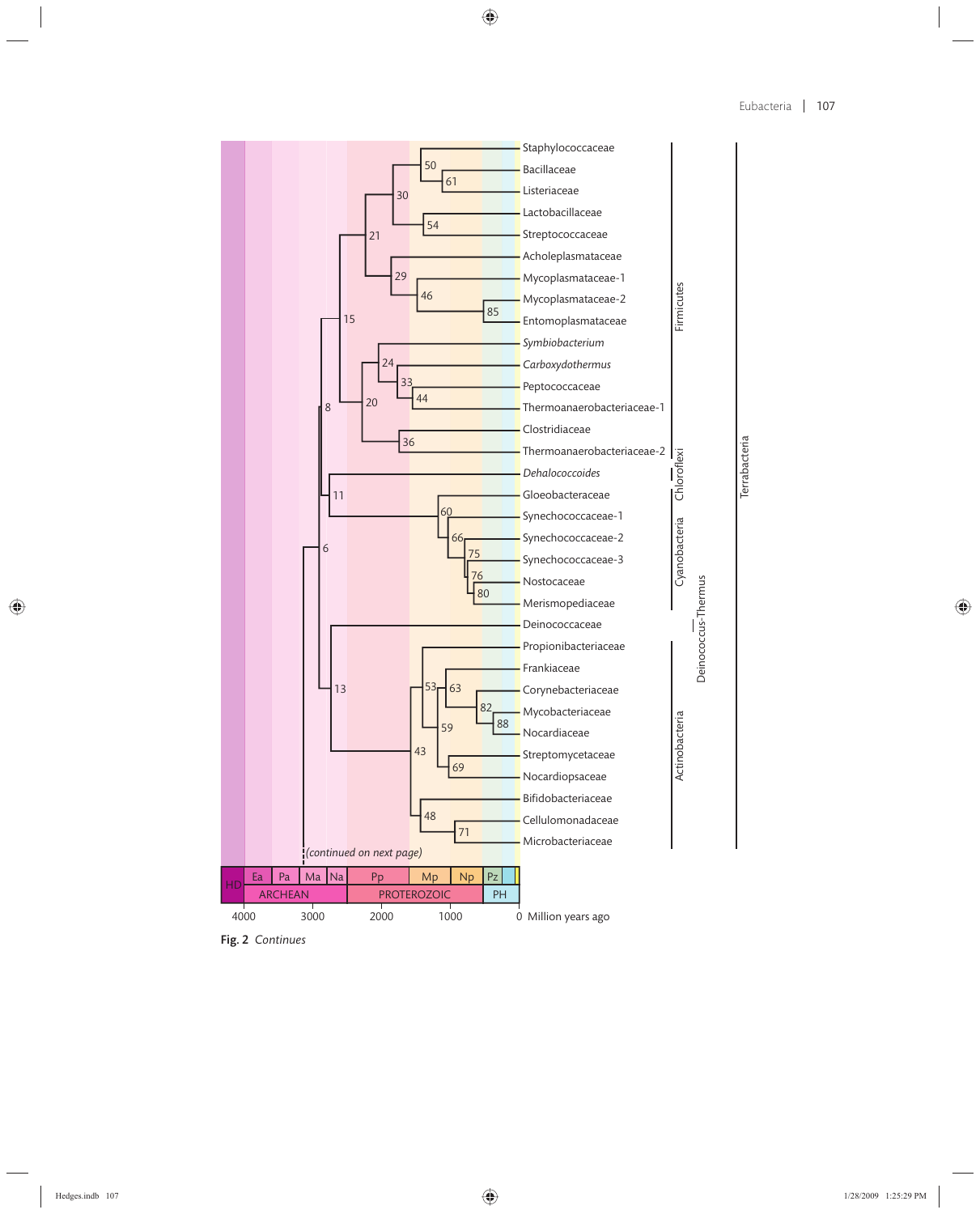

Fig. 2 *Continues*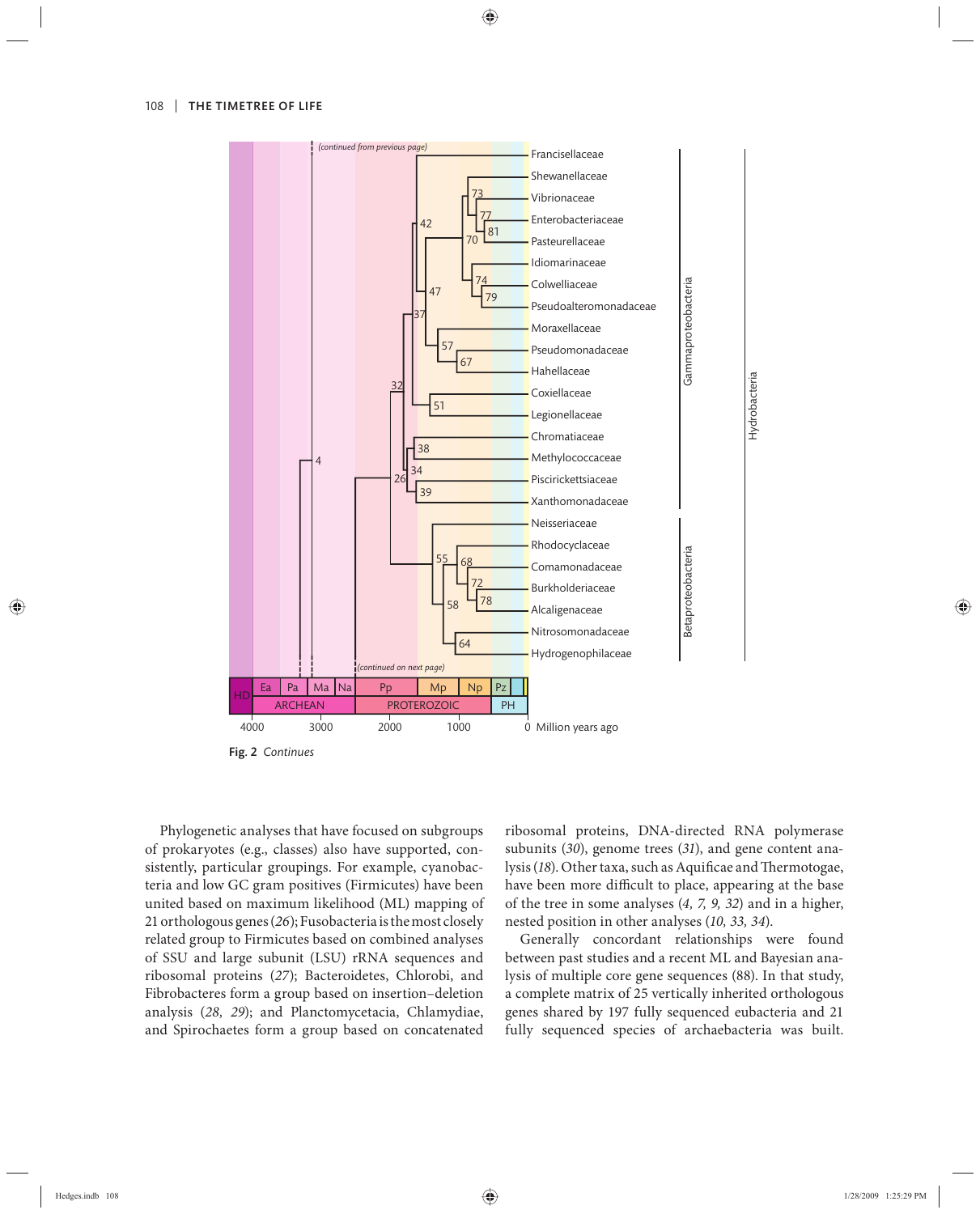

Fig. 2 *Continues*

Phylogenetic analyses that have focused on subgroups of prokaryotes (e.g., classes) also have supported, consistently, particular groupings. For example, cyanobacteria and low GC gram positives (Firmicutes) have been united based on maximum likelihood (ML) mapping of 21 orthologous genes (*26*); Fusobacteria is the most closely related group to Firmicutes based on combined analyses of SSU and large subunit (LSU) rRNA sequences and ribosomal proteins (*27*); Bacteroidetes, Chlorobi, and Fibrobacteres form a group based on insertion–deletion analysis (*28, 29*); and Planctomycetacia, Chlamydiae, and Spirochaetes form a group based on concatenated

ribosomal proteins, DNA-directed RNA polymerase subunits (*30*), genome trees (*31*), and gene content analysis (18). Other taxa, such as Aquificae and Thermotogae, have been more difficult to place, appearing at the base of the tree in some analyses (*4, 7, 9, 32*) and in a higher, nested position in other analyses (*10, 33, 34*).

Generally concordant relationships were found between past studies and a recent ML and Bayesian analysis of multiple core gene sequences (88). In that study, a complete matrix of 25 vertically inherited orthologous genes shared by 197 fully sequenced eubacteria and 21 fully sequenced species of archaebacteria was built.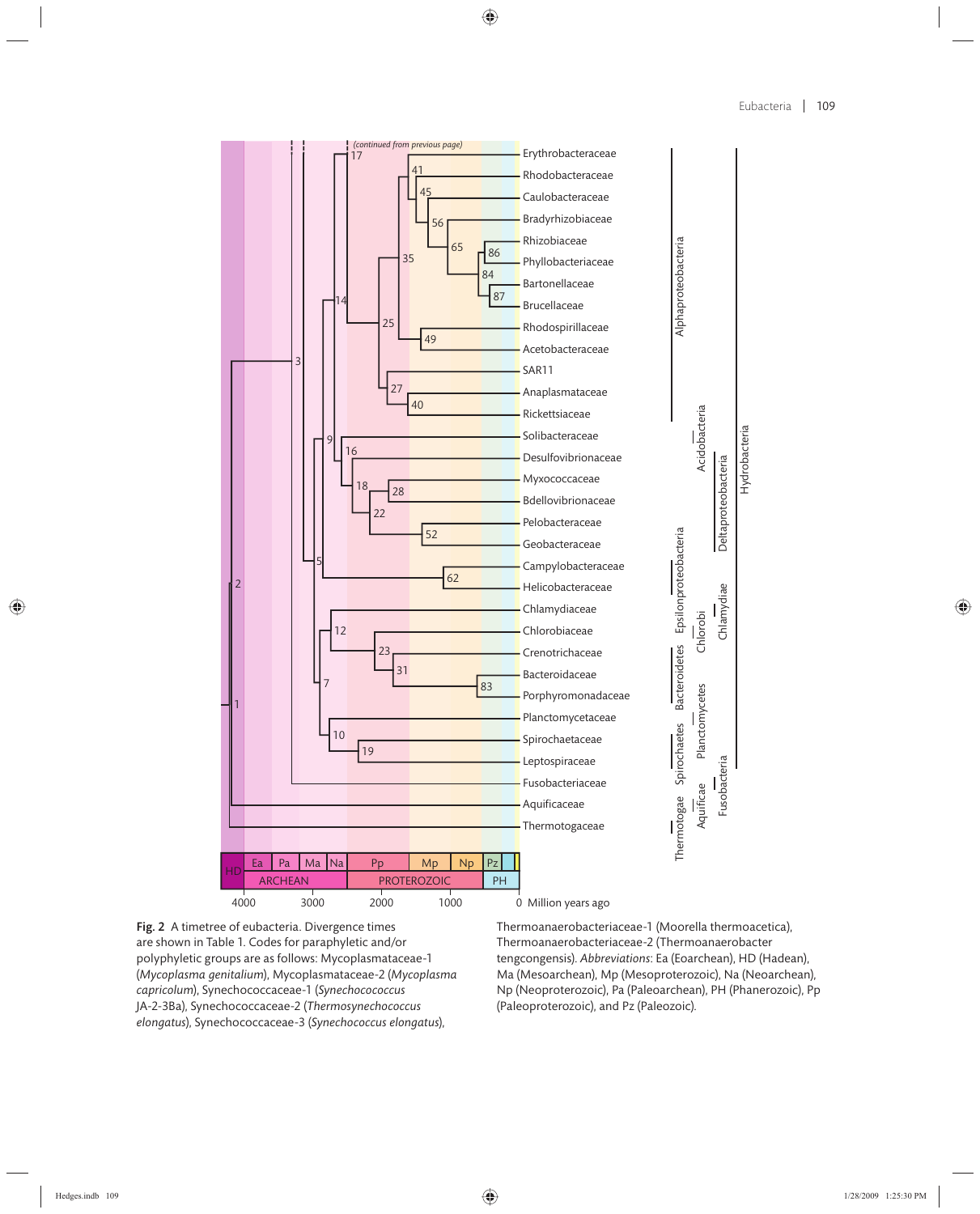

Fig. 2 A timetree of eubacteria. Divergence times are shown in Table 1. Codes for paraphyletic and/or polyphyletic groups are as follows: Mycoplasmataceae-1 (*Mycoplasma genitalium*), Mycoplasmataceae-2 (*Mycoplasma capricolum*), Synechococcaceae-1 (*Synechocococcus* JA-2-3Ba), Synechococcaceae-2 (*Thermosynechococcus elongatus*), Synechococcaceae-3 (*Synechococcus elongatus*),

Thermoanaerobacteriaceae-1 (Moorella thermoacetica), Thermoanaerobacteriaceae-2 (Thermoanaerobacter tengcongensis). *Abbreviations*: Ea (Eoarchean), HD (Hadean), Ma (Mesoarchean), Mp (Mesoproterozoic), Na (Neoarchean), Np (Neoproterozoic), Pa (Paleoarchean), PH (Phanerozoic), Pp (Paleoproterozoic), and Pz (Paleozoic).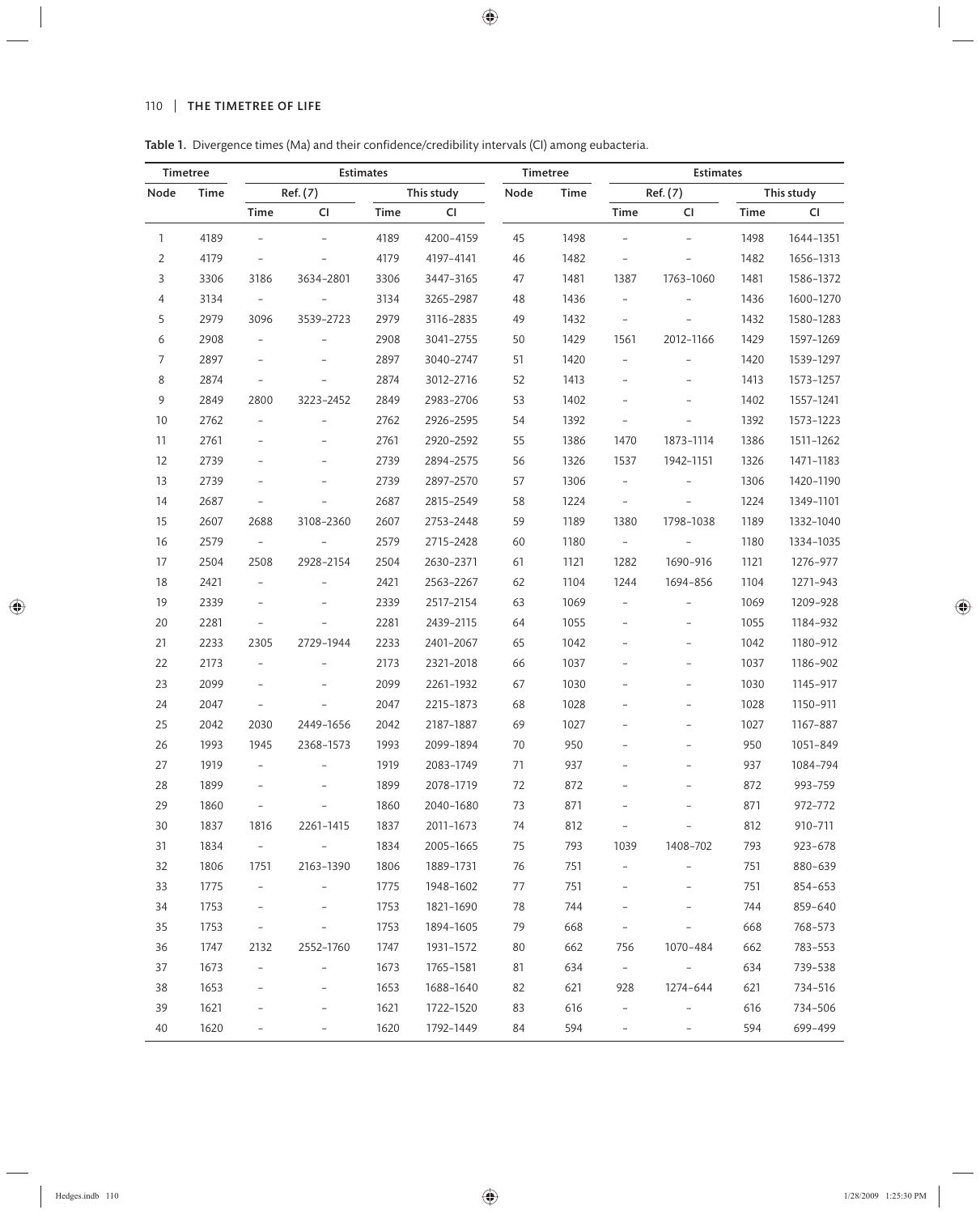### 110 | THE TIMETREE OF LIFE

Table 1. Divergence times (Ma) and their confidence/credibility intervals (CI) among eubacteria.

| Timetree       |      | <b>Estimates</b>         |                          |      |           | Timetree |                        | <b>Estimates</b>         |                          |      |             |  |
|----------------|------|--------------------------|--------------------------|------|-----------|----------|------------------------|--------------------------|--------------------------|------|-------------|--|
| Node           | Time | Ref. (7)<br>This study   |                          |      | Node      | Time     | Ref. (7)<br>This study |                          |                          |      |             |  |
|                |      | Time                     | CI                       | Time | CI        |          |                        | Time                     | CI                       | Time | <b>CI</b>   |  |
| $\mathbf{1}$   | 4189 | $\overline{\phantom{a}}$ | $\overline{\phantom{a}}$ | 4189 | 4200-4159 | 45       | 1498                   | $\frac{1}{2}$            |                          | 1498 | 1644-1351   |  |
| $\overline{2}$ | 4179 | $\overline{\phantom{a}}$ |                          | 4179 | 4197-4141 | 46       | 1482                   | $\overline{\phantom{0}}$ |                          | 1482 | 1656-1313   |  |
| 3              | 3306 | 3186                     | 3634-2801                | 3306 | 3447-3165 | 47       | 1481                   | 1387                     | 1763-1060                | 1481 | 1586-1372   |  |
| 4              | 3134 | $\overline{\phantom{a}}$ | $\overline{\phantom{a}}$ | 3134 | 3265-2987 | 48       | 1436                   | $\overline{\phantom{a}}$ |                          | 1436 | 1600-1270   |  |
| 5              | 2979 | 3096                     | 3539-2723                | 2979 | 3116-2835 | 49       | 1432                   | $\overline{\phantom{a}}$ |                          | 1432 | 1580-1283   |  |
| 6              | 2908 | $\overline{\phantom{0}}$ |                          | 2908 | 3041-2755 | 50       | 1429                   | 1561                     | 2012-1166                | 1429 | 1597-1269   |  |
| $\overline{7}$ | 2897 | $\overline{\phantom{a}}$ |                          | 2897 | 3040-2747 | 51       | 1420                   | $\overline{\phantom{0}}$ |                          | 1420 | 1539-1297   |  |
| 8              | 2874 | $\overline{\phantom{0}}$ |                          | 2874 | 3012-2716 | 52       | 1413                   | $\qquad \qquad -$        |                          | 1413 | 1573-1257   |  |
| 9              | 2849 | 2800                     | 3223-2452                | 2849 | 2983-2706 | 53       | 1402                   | $\overline{\phantom{0}}$ |                          | 1402 | 1557-1241   |  |
| 10             | 2762 | $\overline{\phantom{a}}$ |                          | 2762 | 2926-2595 | 54       | 1392                   | $\overline{\phantom{0}}$ | $\equiv$                 | 1392 | 1573-1223   |  |
| 11             | 2761 | $\qquad \qquad -$        |                          | 2761 | 2920-2592 | 55       | 1386                   | 1470                     | 1873-1114                | 1386 | 1511-1262   |  |
| 12             | 2739 | $\overline{\phantom{0}}$ |                          | 2739 | 2894-2575 | 56       | 1326                   | 1537                     | 1942-1151                | 1326 | 1471-1183   |  |
| 13             | 2739 | $\overline{\phantom{0}}$ |                          | 2739 | 2897-2570 | 57       | 1306                   | $\overline{\phantom{0}}$ |                          | 1306 | 1420-1190   |  |
| 14             | 2687 | $\qquad \qquad -$        |                          | 2687 | 2815-2549 | 58       | 1224                   | $\overline{\phantom{a}}$ |                          | 1224 | 1349-1101   |  |
| 15             | 2607 | 2688                     | 3108-2360                | 2607 | 2753-2448 | 59       | 1189                   | 1380                     | 1798-1038                | 1189 | 1332-1040   |  |
| 16             | 2579 | $\overline{\phantom{a}}$ | $\overline{\phantom{a}}$ | 2579 | 2715-2428 | 60       | 1180                   | $\overline{\phantom{a}}$ | $\overline{\phantom{a}}$ | 1180 | 1334-1035   |  |
| 17             | 2504 | 2508                     | 2928-2154                | 2504 | 2630-2371 | 61       | 1121                   | 1282                     | 1690-916                 | 1121 | 1276-977    |  |
| 18             | 2421 | $\overline{\phantom{0}}$ |                          | 2421 | 2563-2267 | 62       | 1104                   | 1244                     | 1694-856                 | 1104 | 1271-943    |  |
| 19             | 2339 | $\overline{\phantom{a}}$ |                          | 2339 | 2517-2154 | 63       | 1069                   | $\overline{\phantom{a}}$ |                          | 1069 | 1209-928    |  |
| 20             | 2281 | $\qquad \qquad -$        |                          | 2281 | 2439-2115 | 64       | 1055                   | $\qquad \qquad -$        |                          | 1055 | 1184-932    |  |
| 21             | 2233 | 2305                     | 2729-1944                | 2233 | 2401-2067 | 65       | 1042                   | $\overline{\phantom{0}}$ | $\overline{a}$           | 1042 | 1180-912    |  |
| 22             | 2173 | $\overline{\phantom{a}}$ |                          | 2173 | 2321-2018 | 66       | 1037                   | $\overline{a}$           | $\overline{a}$           | 1037 | 1186-902    |  |
| 23             | 2099 | $\overline{\phantom{a}}$ |                          | 2099 | 2261-1932 | 67       | 1030                   |                          | $\qquad \qquad -$        | 1030 | 1145-917    |  |
| 24             | 2047 | $\overline{\phantom{0}}$ |                          | 2047 | 2215-1873 | 68       | 1028                   | $\overline{a}$           | $\overline{a}$           | 1028 | 1150-911    |  |
| 25             | 2042 | 2030                     | 2449-1656                | 2042 | 2187-1887 | 69       | 1027                   |                          | $\overline{a}$           | 1027 | 1167-887    |  |
| 26             | 1993 | 1945                     | 2368-1573                | 1993 | 2099-1894 | 70       | 950                    |                          |                          | 950  | 1051-849    |  |
| 27             | 1919 | $\overline{\phantom{0}}$ | $\overline{a}$           | 1919 | 2083-1749 | 71       | 937                    | $\overline{a}$           | $\overline{\phantom{0}}$ | 937  | 1084-794    |  |
| 28             | 1899 | $\overline{a}$           |                          | 1899 | 2078-1719 | 72       | 872                    |                          |                          | 872  | 993-759     |  |
| 29             | 1860 | <b>-</b>                 |                          | 1860 | 2040-1680 | 73       | 871                    |                          |                          | 871  | 972-772     |  |
| 30             | 1837 | 1816                     | 2261-1415                | 1837 | 2011-1673 | 74       | 812                    | $\overline{\phantom{a}}$ | $\overline{\phantom{a}}$ | 812  | 910-711     |  |
| 31             | 1834 | $\sim$                   | $\omega_{\rm{max}}$      | 1834 | 2005-1665 | 75       | 793                    | 1039                     | 1408-702                 | 793  | $923 - 678$ |  |
| 32             | 1806 | 1751                     | 2163-1390                | 1806 | 1889-1731 | 76       | 751                    | $\overline{\phantom{a}}$ | $\overline{\phantom{a}}$ | 751  | 880-639     |  |
| 33             | 1775 | $\qquad \qquad -$        | $\overline{\phantom{a}}$ | 1775 | 1948-1602 | 77       | 751                    | $\overline{\phantom{a}}$ |                          | 751  | 854-653     |  |
| 34             | 1753 | $\overline{\phantom{0}}$ |                          | 1753 | 1821-1690 | 78       | 744                    |                          |                          | 744  | 859-640     |  |
| 35             | 1753 | $\qquad \qquad -$        |                          | 1753 | 1894-1605 | 79       | 668                    | $\overline{\phantom{0}}$ |                          | 668  | 768-573     |  |
| 36             | 1747 | 2132                     | 2552-1760                | 1747 | 1931-1572 | 80       | 662                    | 756                      | 1070-484                 | 662  | 783-553     |  |
| 37             | 1673 | $\overline{\phantom{a}}$ | $\overline{\phantom{a}}$ | 1673 | 1765-1581 | 81       | 634                    | $\sim$                   | $\equiv$                 | 634  | 739-538     |  |
| 38             | 1653 |                          |                          | 1653 | 1688-1640 | 82       | 621                    | 928                      | 1274-644                 | 621  | 734-516     |  |
| 39             | 1621 |                          |                          | 1621 | 1722-1520 | 83       | 616                    | $\qquad \qquad -$        | $\overline{\phantom{a}}$ | 616  | 734-506     |  |
| 40             | 1620 |                          |                          | 1620 | 1792-1449 | 84       | 594                    | $\overline{\phantom{0}}$ |                          | 594  | 699-499     |  |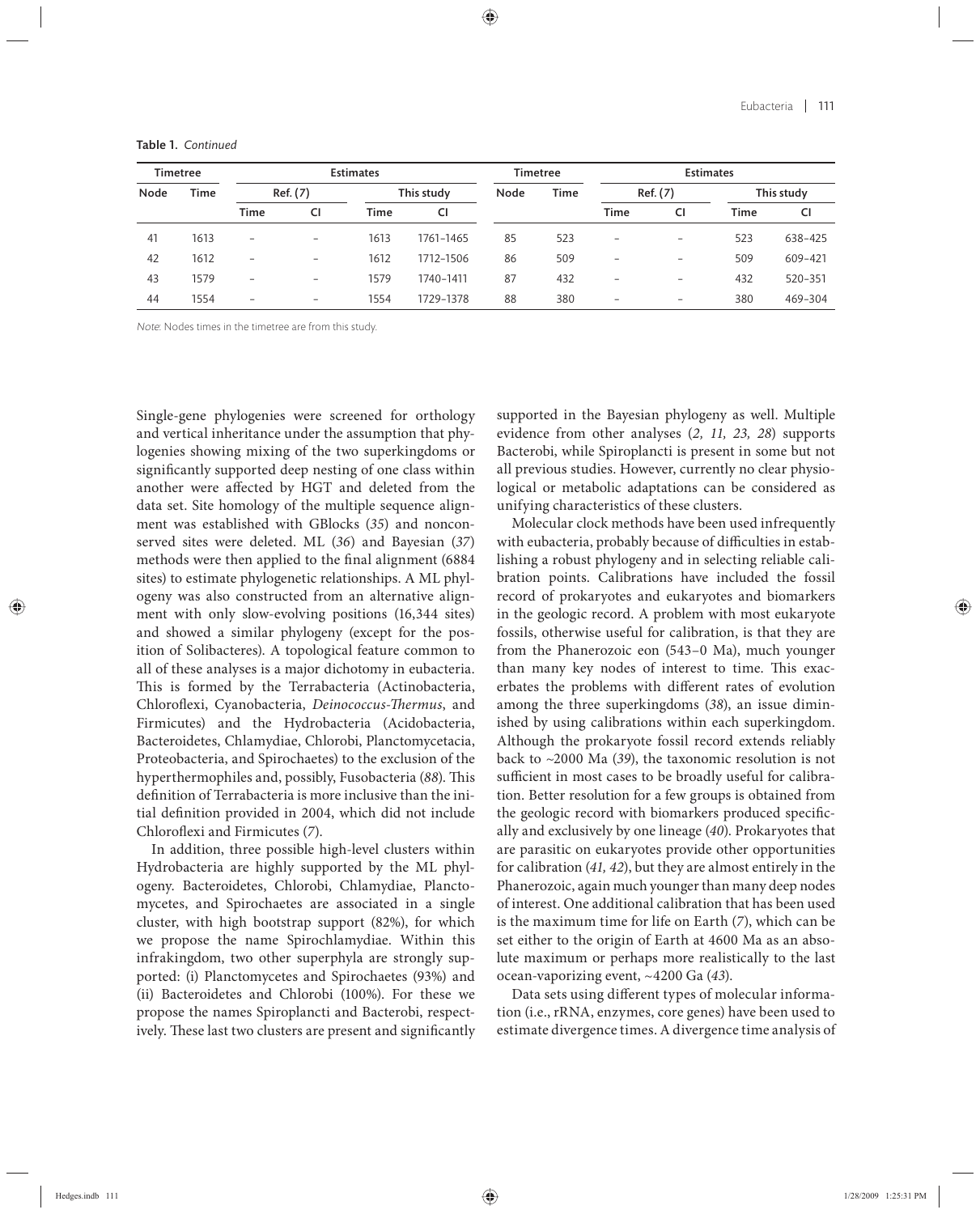| Timetree |             |                   |                          | <b>Estimates</b> |           | Timetree |      | <b>Estimates</b>         |                          |             |             |  |
|----------|-------------|-------------------|--------------------------|------------------|-----------|----------|------|--------------------------|--------------------------|-------------|-------------|--|
| Node     | <b>Time</b> | Ref. (7)          |                          | This study       |           | Node     | Time | Ref. (7)                 |                          | This study  |             |  |
|          |             | Time              | CI                       | <b>Time</b>      | CI        |          |      | Time                     | CI                       | <b>Time</b> | <b>CI</b>   |  |
| 41       | 1613        | $\qquad \qquad$   | $\qquad \qquad -$        | 1613             | 1761-1465 | 85       | 523  | $\overline{\phantom{0}}$ | $\qquad \qquad$          | 523         | 638-425     |  |
| 42       | 1612        | $\overline{ }$    | $\overline{\phantom{0}}$ | 1612             | 1712-1506 | 86       | 509  | $\overline{\phantom{0}}$ | $\overline{\phantom{0}}$ | 509         | 609-421     |  |
| 43       | 1579        | $\qquad \qquad -$ | $\overline{\phantom{a}}$ | 1579             | 1740-1411 | 87       | 432  | -                        | $\qquad \qquad -$        | 432         | $520 - 351$ |  |
| 44       | 1554        | $\qquad \qquad -$ | $\overline{\phantom{0}}$ | 1554             | 1729-1378 | 88       | 380  | $\overline{\phantom{0}}$ | $\qquad \qquad -$        | 380         | 469-304     |  |

Table 1. *Continued*

Note: Nodes times in the timetree are from this study.

Single-gene phylogenies were screened for orthology and vertical inheritance under the assumption that phylogenies showing mixing of the two superkingdoms or significantly supported deep nesting of one class within another were affected by HGT and deleted from the data set. Site homology of the multiple sequence alignment was established with GBlocks (*35*) and nonconserved sites were deleted. ML (*36*) and Bayesian (*37*) methods were then applied to the final alignment (6884 sites) to estimate phylogenetic relationships. A ML phylogeny was also constructed from an alternative alignment with only slow-evolving positions (16,344 sites) and showed a similar phylogeny (except for the position of Solibacteres). A topological feature common to all of these analyses is a major dichotomy in eubacteria. This is formed by the Terrabacteria (Actinobacteria, Chloroflexi, Cyanobacteria, *Deinococcus-Thermus*, and Firmicutes) and the Hydrobacteria (Acidobacteria, Bacteroidetes, Chlamydiae, Chlorobi, Planctomycetacia, Proteobacteria, and Spirochaetes) to the exclusion of the hyperthermophiles and, possibly, Fusobacteria (88). This definition of Terrabacteria is more inclusive than the initial definition provided in 2004, which did not include Chloroflexi and Firmicutes (7).

In addition, three possible high-level clusters within Hydrobacteria are highly supported by the ML phylogeny. Bacteroidetes, Chlorobi, Chlamydiae, Planctomycetes, and Spirochaetes are associated in a single cluster, with high bootstrap support (82%), for which we propose the name Spirochlamydiae. Within this infrakingdom, two other superphyla are strongly supported: (i) Planctomycetes and Spirochaetes (93%) and (ii) Bacteroidetes and Chlorobi (100%). For these we propose the names Spiroplancti and Bacterobi, respectively. These last two clusters are present and significantly supported in the Bayesian phylogeny as well. Multiple evidence from other analyses (*2, 11, 23, 28*) supports Bacterobi, while Spiroplancti is present in some but not all previous studies. However, currently no clear physiological or metabolic adaptations can be considered as unifying characteristics of these clusters.

Molecular clock methods have been used infrequently with eubacteria, probably because of difficulties in establishing a robust phylogeny and in selecting reliable calibration points. Calibrations have included the fossil record of prokaryotes and eukaryotes and biomarkers in the geologic record. A problem with most eukaryote fossils, otherwise useful for calibration, is that they are from the Phanerozoic eon (543–0 Ma), much younger than many key nodes of interest to time. This exacerbates the problems with different rates of evolution among the three superkingdoms (*38*), an issue diminished by using calibrations within each superkingdom. Although the prokaryote fossil record extends reliably back to ~2000 Ma (*39*), the taxonomic resolution is not sufficient in most cases to be broadly useful for calibration. Better resolution for a few groups is obtained from the geologic record with biomarkers produced specifically and exclusively by one lineage (*40*). Prokaryotes that are parasitic on eukaryotes provide other opportunities for calibration (*41, 42*), but they are almost entirely in the Phanerozoic, again much younger than many deep nodes of interest. One additional calibration that has been used is the maximum time for life on Earth (*7*), which can be set either to the origin of Earth at 4600 Ma as an absolute maximum or perhaps more realistically to the last ocean-vaporizing event, ~4200 Ga (*43*).

Data sets using different types of molecular information (i.e., rRNA, enzymes, core genes) have been used to estimate divergence times. A divergence time analysis of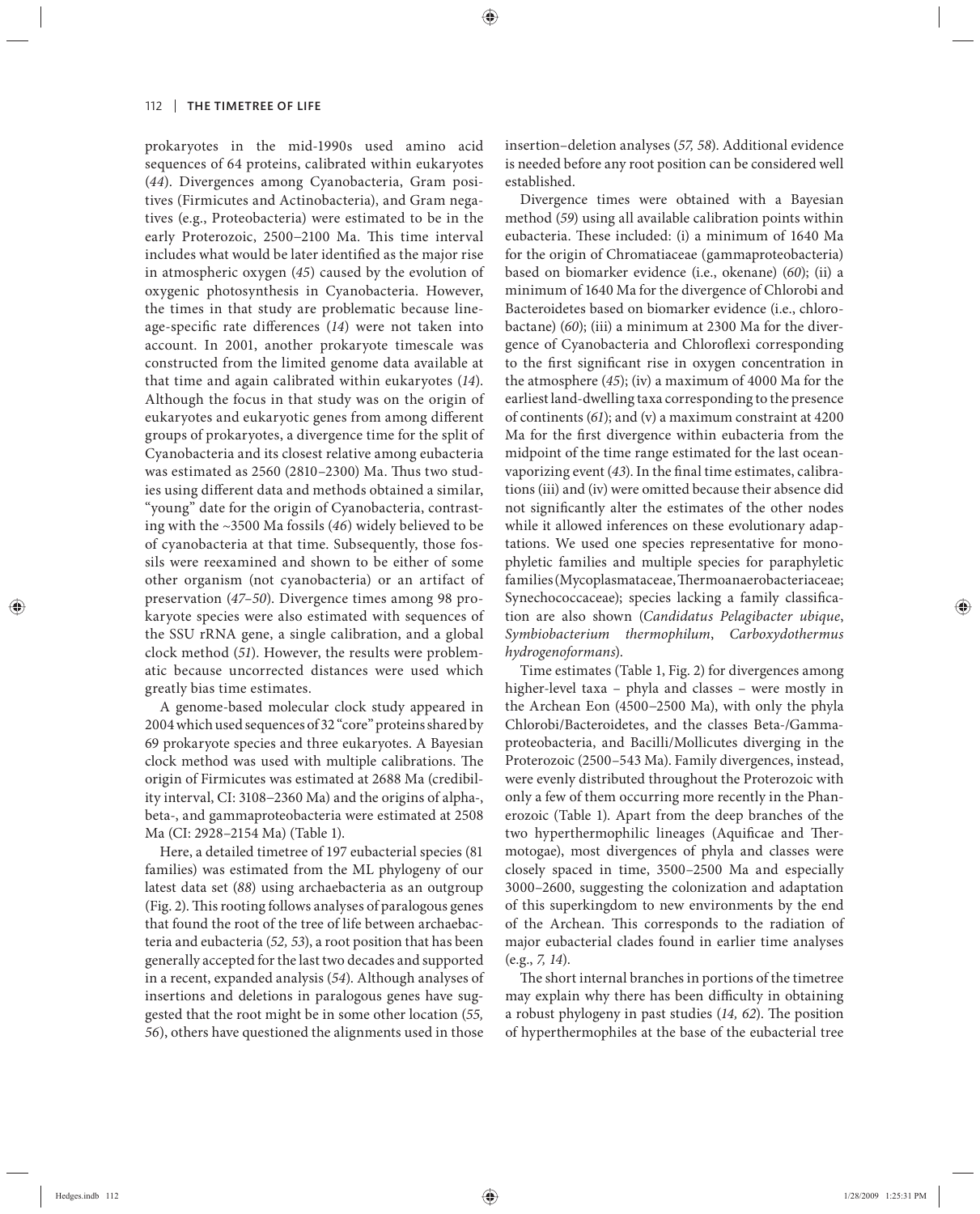prokaryotes in the mid-1990s used amino acid sequences of 64 proteins, calibrated within eukaryotes (*44*). Divergences among Cyanobacteria, Gram positives (Firmicutes and Actinobacteria), and Gram negatives (e.g., Proteobacteria) were estimated to be in the early Proterozoic, 2500-2100 Ma. This time interval includes what would be later identified as the major rise in atmospheric oxygen (*45*) caused by the evolution of oxygenic photosynthesis in Cyanobacteria. However, the times in that study are problematic because lineage-specific rate differences (14) were not taken into account. In 2001, another prokaryote timescale was constructed from the limited genome data available at that time and again calibrated within eukaryotes (*14*). Although the focus in that study was on the origin of eukaryotes and eukaryotic genes from among different groups of prokaryotes, a divergence time for the split of Cyanobacteria and its closest relative among eubacteria was estimated as  $2560$  ( $2810-2300$ ) Ma. Thus two studies using different data and methods obtained a similar, "young" date for the origin of Cyanobacteria, contrasting with the ~3500 Ma fossils (*46*) widely believed to be of cyanobacteria at that time. Subsequently, those fossils were reexamined and shown to be either of some other organism (not cyanobacteria) or an artifact of preservation (*47–50*). Divergence times among 98 prokaryote species were also estimated with sequences of the SSU rRNA gene, a single calibration, and a global clock method (*51*). However, the results were problematic because uncorrected distances were used which greatly bias time estimates.

A genome-based molecular clock study appeared in 2004 which used sequences of 32 "core" proteins shared by 69 prokaryote species and three eukaryotes. A Bayesian clock method was used with multiple calibrations. The origin of Firmicutes was estimated at 2688 Ma (credibility interval, CI: 3108−2360 Ma) and the origins of alpha-, beta-, and gammaproteobacteria were estimated at 2508 Ma (CI: 2928–2154 Ma) (Table 1).

Here, a detailed timetree of 197 eubacterial species (81 families) was estimated from the ML phylogeny of our latest data set (*88*) using archaebacteria as an outgroup (Fig. 2). This rooting follows analyses of paralogous genes that found the root of the tree of life between archaebacteria and eubacteria (*52, 53*), a root position that has been generally accepted for the last two decades and supported in a recent, expanded analysis (*54*). Although analyses of insertions and deletions in paralogous genes have suggested that the root might be in some other location (*55, 56*), others have questioned the alignments used in those

insertion–deletion analyses (*57, 58*). Additional evidence is needed before any root position can be considered well established.

Divergence times were obtained with a Bayesian method (*59*) using all available calibration points within eubacteria. These included: (i) a minimum of 1640 Ma for the origin of Chromatiaceae (gammaproteobacteria) based on biomarker evidence (i.e., okenane) (*60*); (ii) a minimum of 1640 Ma for the divergence of Chlorobi and Bacteroidetes based on biomarker evidence (i.e., chlorobactane) (*60*); (iii) a minimum at 2300 Ma for the divergence of Cyanobacteria and Chloroflexi corresponding to the first significant rise in oxygen concentration in the atmosphere (*45*); (iv) a maximum of 4000 Ma for the earliest land-dwelling taxa corresponding to the presence of continents (*61*); and (v) a maximum constraint at 4200 Ma for the first divergence within eubacteria from the midpoint of the time range estimated for the last oceanvaporizing event (43). In the final time estimates, calibrations (iii) and (iv) were omitted because their absence did not significantly alter the estimates of the other nodes while it allowed inferences on these evolutionary adaptations. We used one species representative for monophyletic families and multiple species for paraphyletic families (Mycoplasmataceae, Thermoanaerobacteriaceae; Synechococcaceae); species lacking a family classification are also shown (*Candidatus Pelagibacter ubique*, *Symbiobacterium thermophilum*, *Carboxydothermus hydrogenoformans*).

Time estimates (Table 1, Fig. 2) for divergences among higher-level taxa – phyla and classes – were mostly in the Archean Eon (4500−2500 Ma), with only the phyla Chlorobi/Bacteroidetes, and the classes Beta-/Gammaproteobacteria, and Bacilli/Mollicutes diverging in the Proterozoic (2500–543 Ma). Family divergences, instead, were evenly distributed throughout the Proterozoic with only a few of them occurring more recently in the Phanerozoic (Table 1). Apart from the deep branches of the two hyperthermophilic lineages (Aquificae and Thermotogae), most divergences of phyla and classes were closely spaced in time, 3500–2500 Ma and especially 3000–2600, suggesting the colonization and adaptation of this superkingdom to new environments by the end of the Archean. This corresponds to the radiation of major eubacterial clades found in earlier time analyses (e.g., *7, 14*).

The short internal branches in portions of the timetree may explain why there has been difficulty in obtaining a robust phylogeny in past studies (14, 62). The position of hyperthermophiles at the base of the eubacterial tree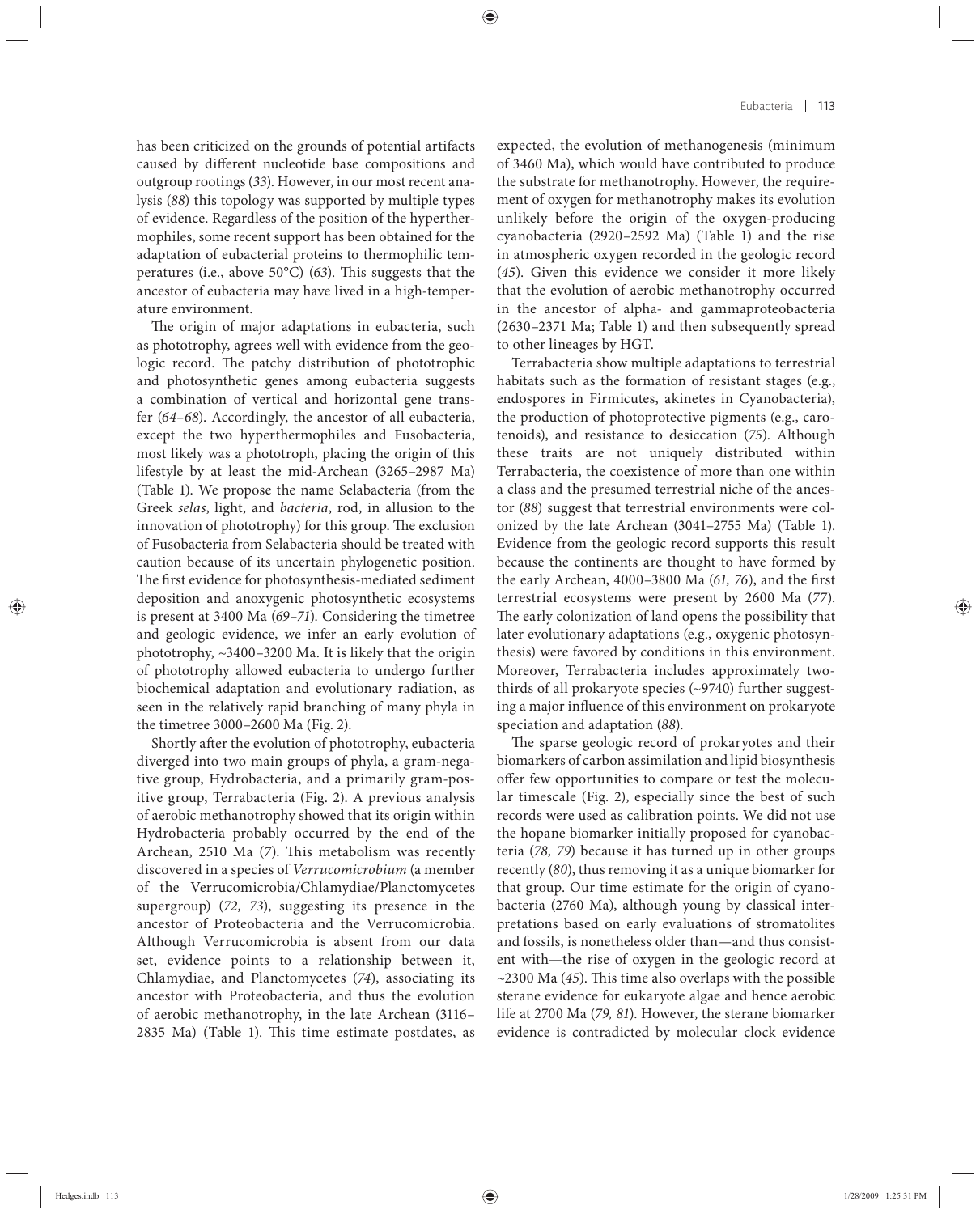has been criticized on the grounds of potential artifacts caused by different nucleotide base compositions and outgroup rootings (*33*). However, in our most recent analysis (*88*) this topology was supported by multiple types of evidence. Regardless of the position of the hyperthermophiles, some recent support has been obtained for the adaptation of eubacterial proteins to thermophilic temperatures (i.e., above 50°C) (63). This suggests that the ancestor of eubacteria may have lived in a high-temperature environment.

The origin of major adaptations in eubacteria, such as phototrophy, agrees well with evidence from the geologic record. The patchy distribution of phototrophic and photosynthetic genes among eubacteria suggests a combination of vertical and horizontal gene transfer (*64–68*). Accordingly, the ancestor of all eubacteria, except the two hyperthermophiles and Fusobacteria, most likely was a phototroph, placing the origin of this lifestyle by at least the mid-Archean (3265–2987 Ma) (Table 1). We propose the name Selabacteria (from the Greek *selas*, light, and *bacteria*, rod, in allusion to the innovation of phototrophy) for this group. The exclusion of Fusobacteria from Selabacteria should be treated with caution because of its uncertain phylogenetic position. The first evidence for photosynthesis-mediated sediment deposition and anoxygenic photosynthetic ecosystems is present at 3400 Ma (*69–71*). Considering the timetree and geologic evidence, we infer an early evolution of phototrophy, ~3400–3200 Ma. It is likely that the origin of phototrophy allowed eubacteria to undergo further biochemical adaptation and evolutionary radiation, as seen in the relatively rapid branching of many phyla in the timetree 3000–2600 Ma (Fig. 2).

Shortly after the evolution of phototrophy, eubacteria diverged into two main groups of phyla, a gram-negative group, Hydrobacteria, and a primarily gram-positive group, Terrabacteria (Fig. 2). A previous analysis of aerobic methanotrophy showed that its origin within Hydrobacteria probably occurred by the end of the Archean, 2510 Ma (7). This metabolism was recently discovered in a species of *Verrucomicrobium* (a member of the Verrucomicrobia/Chlamydiae/Planctomycetes supergroup) (72, 73), suggesting its presence in the ancestor of Proteobacteria and the Verrucomicrobia. Although Verrucomicrobia is absent from our data set, evidence points to a relationship between it, Chlamydiae, and Planctomycetes (*74*), associating its ancestor with Proteobacteria, and thus the evolution of aerobic methanotrophy, in the late Archean (3116– 2835 Ma) (Table 1). This time estimate postdates, as expected, the evolution of methanogenesis (minimum of 3460 Ma), which would have contributed to produce the substrate for methanotrophy. However, the requirement of oxygen for methanotrophy makes its evolution unlikely before the origin of the oxygen-producing cyanobacteria (2920–2592 Ma) (Table 1) and the rise in atmospheric oxygen recorded in the geologic record (*45*). Given this evidence we consider it more likely that the evolution of aerobic methanotrophy occurred in the ancestor of alpha- and gammaproteobacteria (2630–2371 Ma; Table 1) and then subsequently spread to other lineages by HGT.

Terrabacteria show multiple adaptations to terrestrial habitats such as the formation of resistant stages (e.g., endospores in Firmicutes, akinetes in Cyanobacteria), the production of photoprotective pigments (e.g., carotenoids), and resistance to desiccation (*75*). Although these traits are not uniquely distributed within Terrabacteria, the coexistence of more than one within a class and the presumed terrestrial niche of the ancestor (*88*) suggest that terrestrial environments were colonized by the late Archean (3041–2755 Ma) (Table 1). Evidence from the geologic record supports this result because the continents are thought to have formed by the early Archean, 4000-3800 Ma (61, 76), and the first terrestrial ecosystems were present by 2600 Ma (*77*). The early colonization of land opens the possibility that later evolutionary adaptations (e.g., oxygenic photosynthesis) were favored by conditions in this environment. Moreover, Terrabacteria includes approximately twothirds of all prokaryote species  $(\sim)$ 9740) further suggesting a major influence of this environment on prokaryote speciation and adaptation (*88*).

The sparse geologic record of prokaryotes and their biomarkers of carbon assimilation and lipid biosynthesis offer few opportunities to compare or test the molecular timescale (Fig. 2), especially since the best of such records were used as calibration points. We did not use the hopane biomarker initially proposed for cyanobacteria (*78, 79*) because it has turned up in other groups recently (*80*), thus removing it as a unique biomarker for that group. Our time estimate for the origin of cyanobacteria (2760 Ma), although young by classical interpretations based on early evaluations of stromatolites and fossils, is nonetheless older than—and thus consistent with—the rise of oxygen in the geologic record at ~2300 Ma (45). This time also overlaps with the possible sterane evidence for eukaryote algae and hence aerobic life at 2700 Ma (*79, 81*). However, the sterane biomarker evidence is contradicted by molecular clock evidence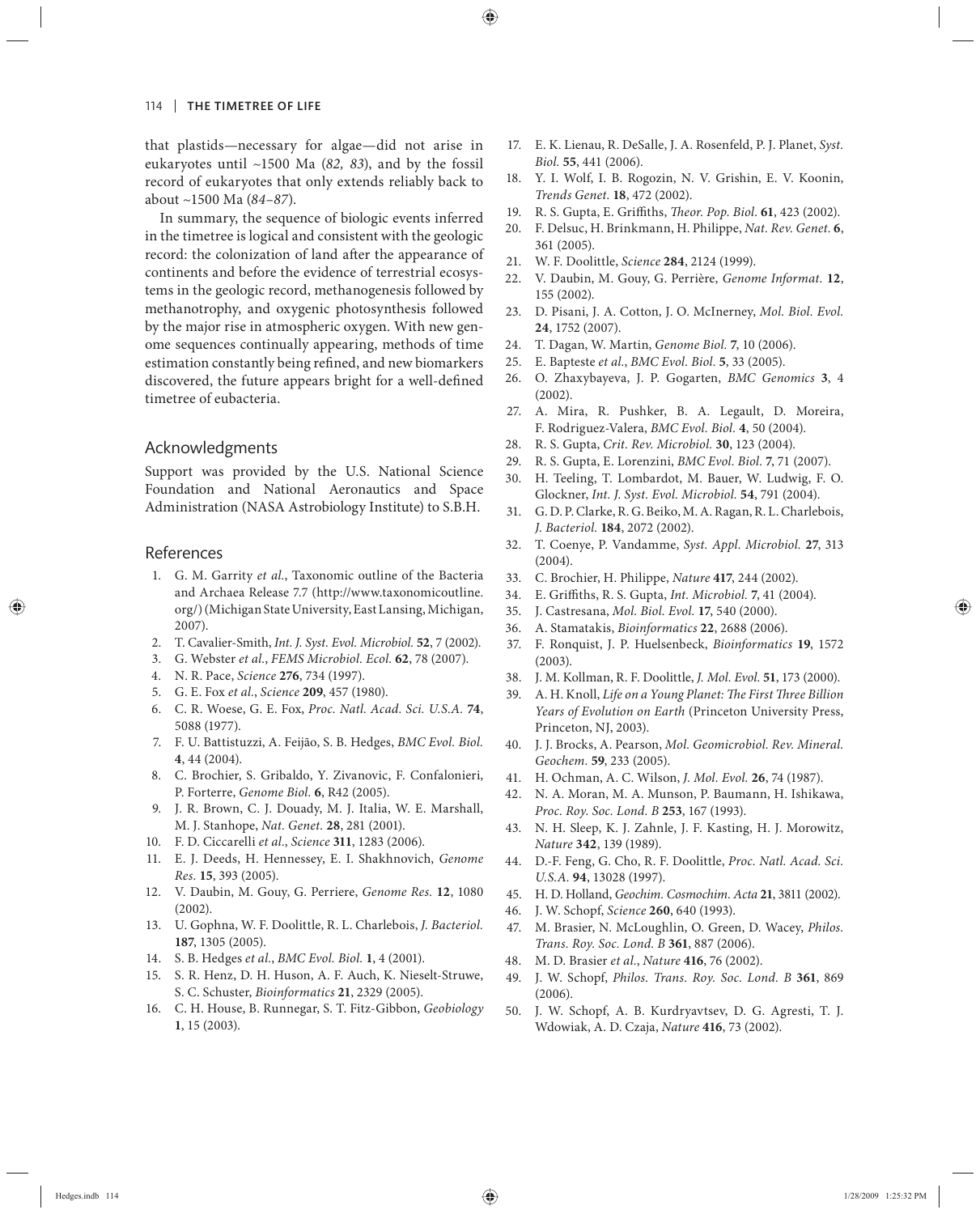that plastids—necessary for algae—did not arise in eukaryotes until ~1500 Ma (82, 83), and by the fossil record of eukaryotes that only extends reliably back to about ~1500 Ma (*84–87*).

In summary, the sequence of biologic events inferred in the timetree is logical and consistent with the geologic record: the colonization of land after the appearance of continents and before the evidence of terrestrial ecosystems in the geologic record, methanogenesis followed by methanotrophy, and oxygenic photosynthesis followed by the major rise in atmospheric oxygen. With new genome sequences continually appearing, methods of time estimation constantly being refined, and new biomarkers discovered, the future appears bright for a well-defined timetree of eubacteria.

#### Acknowledgments

Support was provided by the U.S. National Science Foundation and National Aeronautics and Space Administration (NASA Astrobiology Institute) to S.B.H.

#### References

- 1. G. M. Garrity *et al.*, Taxonomic outline of the Bacteria and Archaea Release 7.7 (http://www.taxonomicoutline. org/) (Michigan State University, East Lansing, Michigan, 2007).
- 2. T. Cavalier-Smith, *Int. J. Syst. Evol. Microbiol.* **52**, 7 (2002).
- 3. G. Webster *et al.*, *FEMS Microbiol. Ecol.* **62**, 78 (2007).
- 4. N. R. Pace, *Science* **276**, 734 (1997).
- 5. G. E. Fox *et al.*, *Science* **209**, 457 (1980).
- 6. C. R. Woese, G. E. Fox, *Proc. Natl. Acad. Sci. U.S.A.* **74**, 5088 (1977).
- 7. F. U. Battistuzzi, A. Feijão, S. B. Hedges, *BMC Evol. Biol.* **4**, 44 (2004).
- 8. C. Brochier, S. Gribaldo, Y. Zivanovic, F. Confalonieri, P. Forterre, *Genome Biol.* **6**, R42 (2005).
- 9. J. R. Brown, C. J. Douady, M. J. Italia, W. E. Marshall, M. J. Stanhope, *Nat. Genet.* **28**, 281 (2001).
- 10. F. D. Ciccarelli *et al.*, *Science* **311**, 1283 (2006).
- 11. E. J. Deeds, H. Hennessey, E. I. Shakhnovich, *Genome Res.* **15**, 393 (2005).
- 12. V. Daubin, M. Gouy, G. Perriere, *Genome Res.* **12**, 1080 (2002).
- 13. U. Gophna, W. F. Doolittle, R. L. Charlebois, *J. Bacteriol.* **187**, 1305 (2005).
- 14. S. B. Hedges *et al.*, *BMC Evol. Biol.* **1**, 4 (2001).
- 15. S. R. Henz, D. H. Huson, A. F. Auch, K. Nieselt-Struwe, S. C. Schuster, *Bioinformatics* **21**, 2329 (2005).
- 16. C. H. House, B. Runnegar, S. T. Fitz-Gibbon, *Geobiology* **1**, 15 (2003).
- 17. E. K. Lienau, R. DeSalle, J. A. Rosenfeld, P. J. Planet, *Syst. Biol.* **55**, 441 (2006).
- 18. Y. I. Wolf, I. B. Rogozin, N. V. Grishin, E. V. Koonin, *Trends Genet.* **18**, 472 (2002).
- 19. R. S. Gupta, E. Griffiths, *Theor. Pop. Biol.* 61, 423 (2002).
- 20. F. Delsuc, H. Brinkmann, H. Philippe, *Nat. Rev. Genet.* **6**, 361 (2005).
- 21. W. F. Doolittle, *Science* **284**, 2124 (1999).
- 22. V. Daubin, M. Gouy, G. Perrière, *Genome Informat.* **12**, 155 (2002).
- 23. D. Pisani, J. A. Cotton, J. O. McInerney, *Mol. Biol. Evol.* **24**, 1752 (2007).
- 24. T. Dagan, W. Martin, *Genome Biol.* **7**, 10 (2006).
- 25. E. Bapteste *et al.*, *BMC Evol. Biol.* **5**, 33 (2005).
- 26. O. Zhaxybayeva, J. P. Gogarten, *BMC Genomics* **3**, 4 (2002).
- 27. A. Mira, R. Pushker, B. A. Legault, D. Moreira, F. Rodriguez-Valera, *BMC Evol. Biol.* **4**, 50 (2004).
- 28. R. S. Gupta, *Crit. Rev. Microbiol.* **30**, 123 (2004).
- 29. R. S. Gupta, E. Lorenzini, *BMC Evol. Biol.* **7**, 71 (2007).
- 30. H. Teeling, T. Lombardot, M. Bauer, W. Ludwig, F. O. Glockner, *Int. J. Syst. Evol. Microbiol.* **54**, 791 (2004).
- 31. G. D. P. Clarke, R. G. Beiko, M. A. Ragan, R. L. Charlebois, *J. Bacteriol.* **184**, 2072 (2002).
- 32. T. Coenye, P. Vandamme, *Syst. Appl. Microbiol.* **27**, 313 (2004).
- 33. C. Brochier, H. Philippe, *Nature* **417**, 244 (2002).
- 34. E. Griffiths, R. S. Gupta, *Int. Microbiol.* 7, 41 (2004).
- 35. J. Castresana, *Mol. Biol. Evol.* **17**, 540 (2000).
- 36. A. Stamatakis, *Bioinformatics* **22**, 2688 (2006).
- 37. F. Ronquist, J. P. Huelsenbeck, *Bioinformatics* **19**, 1572 (2003).
- 38. J. M. Kollman, R. F. Doolittle, *J. Mol. Evol.* **51**, 173 (2000).
- 39. A. H. Knoll, *Life on a Young Planet: The First Three Billion Years of Evolution on Earth* (Princeton University Press, Princeton, NJ, 2003).
- 40. J. J. Brocks, A. Pearson, *Mol. Geomicrobiol. Rev. Mineral. Geochem.* **59**, 233 (2005).
- 41. H. Ochman, A. C. Wilson, *J. Mol. Evol.* **26**, 74 (1987).
- 42. N. A. Moran, M. A. Munson, P. Baumann, H. Ishikawa, *Proc. Roy. Soc. Lond. B* **253**, 167 (1993).
- 43. N. H. Sleep, K. J. Zahnle, J. F. Kasting, H. J. Morowitz, *Nature* **342**, 139 (1989).
- 44. D.-F. Feng, G. Cho, R. F. Doolittle, *Proc. Natl. Acad. Sci. U.S.A.* **94**, 13028 (1997).
- 45. H. D. Holland, *Geochim. Cosmochim. Acta* **21**, 3811 (2002).
- 46. J. W. Schopf, *Science* **260**, 640 (1993).
- 47. M. Brasier, N. McLoughlin, O. Green, D. Wacey, *Philos. Trans. Roy. Soc. Lond. B* **361**, 887 (2006).
- 48. M. D. Brasier *et al.*, *Nature* **416**, 76 (2002).
- 49. J. W. Schopf, *Philos. Trans. Roy. Soc. Lond. B* **361**, 869 (2006).
- 50. J. W. Schopf, A. B. Kurdryavtsev, D. G. Agresti, T. J. Wdowiak, A. D. Czaja, *Nature* **416**, 73 (2002).